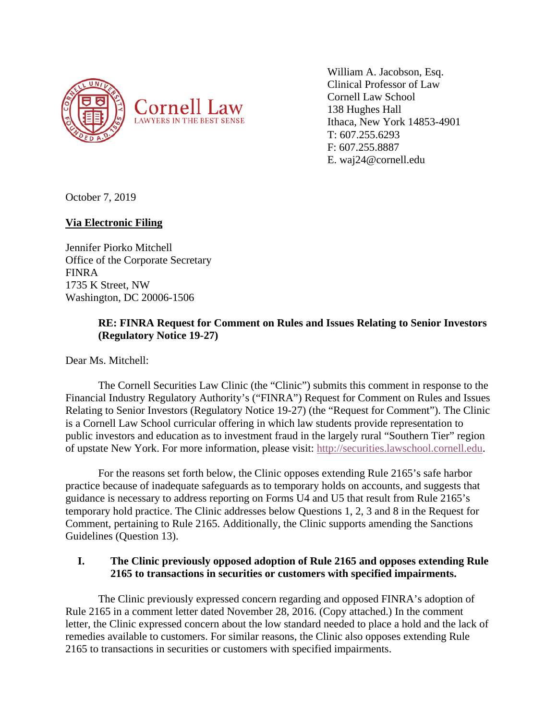

William A. Jacobson, Esq. Clinical Professor of Law Cornell Law School 138 Hughes Hall Ithaca, New York 14853-4901 T: 607.255.6293 F: 607.255.8887 E. waj24@cornell.edu

October 7, 2019

# **Via Electronic Filing**

Jennifer Piorko Mitchell Office of the Corporate Secretary FINRA 1735 K Street, NW Washington, DC 20006-1506

# **RE: FINRA Request for Comment on Rules and Issues Relating to Senior Investors (Regulatory Notice 19-27)**

Dear Ms. Mitchell:

The Cornell Securities Law Clinic (the "Clinic") submits this comment in response to the Financial Industry Regulatory Authority's ("FINRA") Request for Comment on Rules and Issues Relating to Senior Investors (Regulatory Notice 19-27) (the "Request for Comment"). The Clinic is a Cornell Law School curricular offering in which law students provide representation to public investors and education as to investment fraud in the largely rural "Southern Tier" region of upstate New York. For more information, please visit: [http://securities.lawschool.cornell.edu.](http://securities.lawschool.cornell.edu/)

For the reasons set forth below, the Clinic opposes extending Rule 2165's safe harbor practice because of inadequate safeguards as to temporary holds on accounts, and suggests that guidance is necessary to address reporting on Forms U4 and U5 that result from Rule 2165's temporary hold practice. The Clinic addresses below Questions 1, 2, 3 and 8 in the Request for Comment, pertaining to Rule 2165. Additionally, the Clinic supports amending the Sanctions Guidelines (Question 13).

# **I. The Clinic previously opposed adoption of Rule 2165 and opposes extending Rule 2165 to transactions in securities or customers with specified impairments.**

The Clinic previously expressed concern regarding and opposed FINRA's adoption of Rule 2165 in a comment letter dated November 28, 2016. (Copy attached.) In the comment letter, the Clinic expressed concern about the low standard needed to place a hold and the lack of remedies available to customers. For similar reasons, the Clinic also opposes extending Rule 2165 to transactions in securities or customers with specified impairments.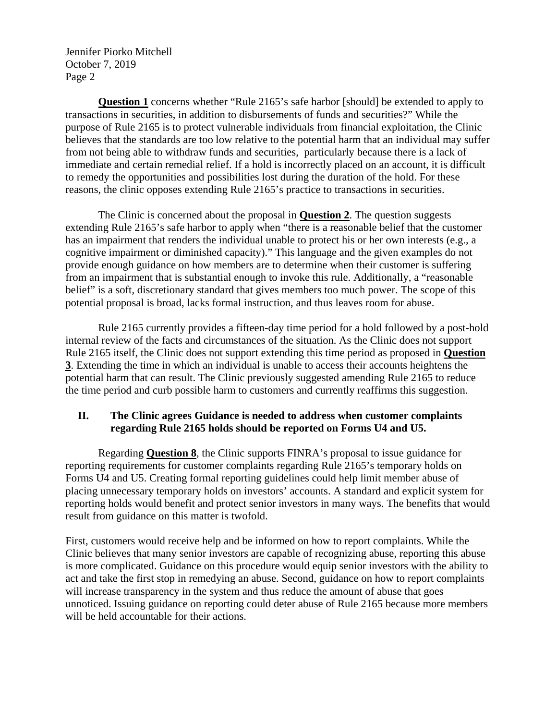Jennifer Piorko Mitchell October 7, 2019 Page 2

**Question 1** concerns whether "Rule 2165's safe harbor [should] be extended to apply to transactions in securities, in addition to disbursements of funds and securities?" While the purpose of Rule 2165 is to protect vulnerable individuals from financial exploitation, the Clinic believes that the standards are too low relative to the potential harm that an individual may suffer from not being able to withdraw funds and securities, particularly because there is a lack of immediate and certain remedial relief. If a hold is incorrectly placed on an account, it is difficult to remedy the opportunities and possibilities lost during the duration of the hold. For these reasons, the clinic opposes extending Rule 2165's practice to transactions in securities.

The Clinic is concerned about the proposal in **Question 2**. The question suggests extending Rule 2165's safe harbor to apply when "there is a reasonable belief that the customer has an impairment that renders the individual unable to protect his or her own interests (e.g., a cognitive impairment or diminished capacity)." This language and the given examples do not provide enough guidance on how members are to determine when their customer is suffering from an impairment that is substantial enough to invoke this rule. Additionally, a "reasonable belief" is a soft, discretionary standard that gives members too much power. The scope of this potential proposal is broad, lacks formal instruction, and thus leaves room for abuse.

Rule 2165 currently provides a fifteen-day time period for a hold followed by a post-hold internal review of the facts and circumstances of the situation. As the Clinic does not support Rule 2165 itself, the Clinic does not support extending this time period as proposed in **Question 3**. Extending the time in which an individual is unable to access their accounts heightens the potential harm that can result. The Clinic previously suggested amending Rule 2165 to reduce the time period and curb possible harm to customers and currently reaffirms this suggestion.

## **II. The Clinic agrees Guidance is needed to address when customer complaints regarding Rule 2165 holds should be reported on Forms U4 and U5.**

Regarding **Question 8**, the Clinic supports FINRA's proposal to issue guidance for reporting requirements for customer complaints regarding Rule 2165's temporary holds on Forms U4 and U5. Creating formal reporting guidelines could help limit member abuse of placing unnecessary temporary holds on investors' accounts. A standard and explicit system for reporting holds would benefit and protect senior investors in many ways. The benefits that would result from guidance on this matter is twofold.

First, customers would receive help and be informed on how to report complaints. While the Clinic believes that many senior investors are capable of recognizing abuse, reporting this abuse is more complicated. Guidance on this procedure would equip senior investors with the ability to act and take the first stop in remedying an abuse. Second, guidance on how to report complaints will increase transparency in the system and thus reduce the amount of abuse that goes unnoticed. Issuing guidance on reporting could deter abuse of Rule 2165 because more members will be held accountable for their actions.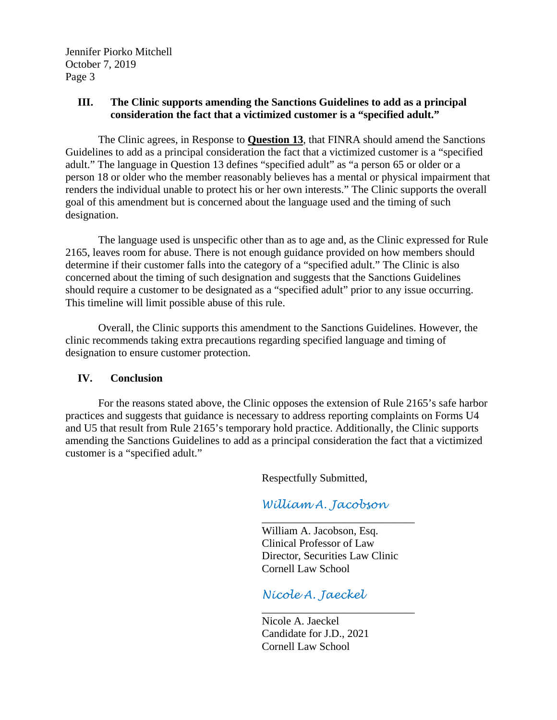Jennifer Piorko Mitchell October 7, 2019 Page 3

## **III. The Clinic supports amending the Sanctions Guidelines to add as a principal consideration the fact that a victimized customer is a "specified adult."**

The Clinic agrees, in Response to **Question 13**, that FINRA should amend the Sanctions Guidelines to add as a principal consideration the fact that a victimized customer is a "specified adult." The language in Question 13 defines "specified adult" as "a person 65 or older or a person 18 or older who the member reasonably believes has a mental or physical impairment that renders the individual unable to protect his or her own interests." The Clinic supports the overall goal of this amendment but is concerned about the language used and the timing of such designation.

The language used is unspecific other than as to age and, as the Clinic expressed for Rule 2165, leaves room for abuse. There is not enough guidance provided on how members should determine if their customer falls into the category of a "specified adult." The Clinic is also concerned about the timing of such designation and suggests that the Sanctions Guidelines should require a customer to be designated as a "specified adult" prior to any issue occurring. This timeline will limit possible abuse of this rule.

Overall, the Clinic supports this amendment to the Sanctions Guidelines. However, the clinic recommends taking extra precautions regarding specified language and timing of designation to ensure customer protection.

# **IV. Conclusion**

For the reasons stated above, the Clinic opposes the extension of Rule 2165's safe harbor practices and suggests that guidance is necessary to address reporting complaints on Forms U4 and U5 that result from Rule 2165's temporary hold practice. Additionally, the Clinic supports amending the Sanctions Guidelines to add as a principal consideration the fact that a victimized customer is a "specified adult."

Respectfully Submitted,

*William A. Jacobson*

\_\_\_\_\_\_\_\_\_\_\_\_\_\_\_\_\_\_\_\_\_\_\_\_\_\_\_\_ William A. Jacobson, Esq. Clinical Professor of Law Director, Securities Law Clinic Cornell Law School

*Nicole A. Jaeckel*

\_\_\_\_\_\_\_\_\_\_\_\_\_\_\_\_\_\_\_\_\_\_\_\_\_\_\_\_ Nicole A. Jaeckel Candidate for J.D., 2021 Cornell Law School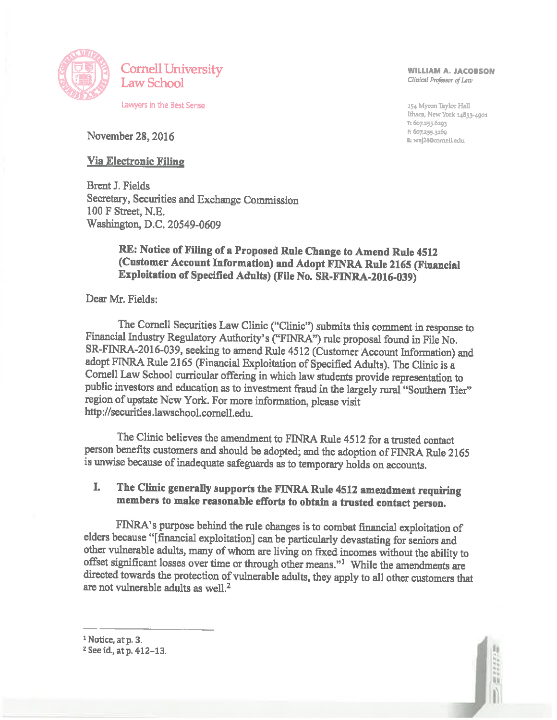

**WILLIAM A. JACOBSON** Clinical Professor of Law

154 Myron Taylor Hall Ithaca. New York 14853-4901 T: 607.255.6203 P: 607.255.3269 E: waj24@cornell.edu

November 28, 2016

## **Via Electronic Filing**

**Brent J. Fields** Secretary, Securities and Exchange Commission 100 F Street, N.E. Washington, D.C. 20549-0609

# RE: Notice of Filing of a Proposed Rule Change to Amend Rule 4512 (Customer Account Information) and Adopt FINRA Rule 2165 (Financial Exploitation of Specified Adults) (File No. SR-FINRA-2016-039)

Dear Mr. Fields:

The Cornell Securities Law Clinic ("Clinic") submits this comment in response to Financial Industry Regulatory Authority's ("FINRA") rule proposal found in File No. SR-FINRA-2016-039, seeking to amend Rule 4512 (Customer Account Information) and adopt FINRA Rule 2165 (Financial Exploitation of Specified Adults). The Clinic is a Cornell Law School curricular offering in which law students provide representation to public investors and education as to investment fraud in the largely rural "Southern Tier" region of upstate New York. For more information, please visit http://securities.lawschool.cornell.edu.

The Clinic believes the amendment to FINRA Rule 4512 for a trusted contact person benefits customers and should be adopted; and the adoption of FINRA Rule 2165 is unwise because of inadequate safeguards as to temporary holds on accounts.

#### The Clinic generally supports the FINRA Rule 4512 amendment requiring L members to make reasonable efforts to obtain a trusted contact person.

FINRA's purpose behind the rule changes is to combat financial exploitation of elders because "[financial exploitation] can be particularly devastating for seniors and other vulnerable adults, many of whom are living on fixed incomes without the ability to offset significant losses over time or through other means."<sup>1</sup> While the amendments are directed towards the protection of vulnerable adults, they apply to all other customers that are not vulnerable adults as well.<sup>2</sup>



<sup>&</sup>lt;sup>2</sup> See id., at p. 412-13.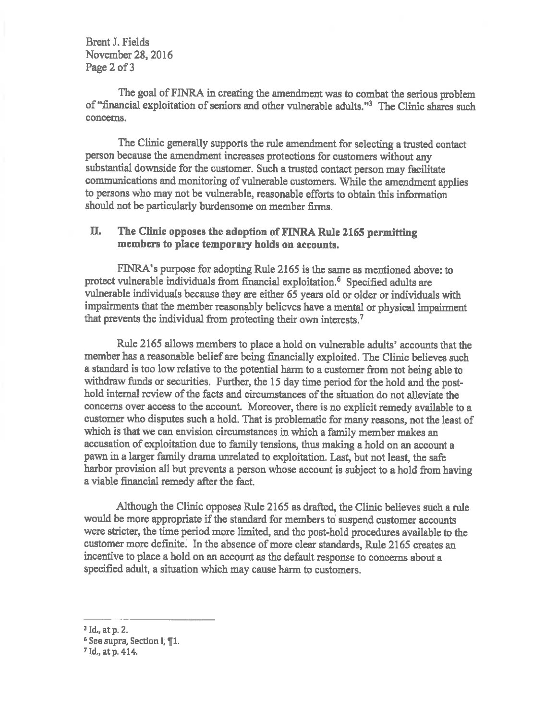**Brent J. Fields** November 28, 2016 Page 2 of 3

The goal of FINRA in creating the amendment was to combat the serious problem of "financial exploitation of seniors and other vulnerable adults."<sup>3</sup> The Clinic shares such concerns.

The Clinic generally supports the rule amendment for selecting a trusted contact person because the amendment increases protections for customers without any substantial downside for the customer. Such a trusted contact person may facilitate communications and monitoring of vulnerable customers. While the amendment applies to persons who may not be vulnerable, reasonable efforts to obtain this information should not be particularly burdensome on member firms.

#### The Clinic opposes the adoption of FINRA Rule 2165 permitting П. members to place temporary holds on accounts.

FINRA's purpose for adopting Rule 2165 is the same as mentioned above: to protect vulnerable individuals from financial exploitation.<sup>6</sup> Specified adults are vulnerable individuals because they are either 65 years old or older or individuals with impairments that the member reasonably believes have a mental or physical impairment that prevents the individual from protecting their own interests.<sup>7</sup>

Rule 2165 allows members to place a hold on vulnerable adults' accounts that the member has a reasonable belief are being financially exploited. The Clinic believes such a standard is too low relative to the potential harm to a customer from not being able to withdraw funds or securities. Further, the 15 day time period for the hold and the posthold internal review of the facts and circumstances of the situation do not alleviate the concerns over access to the account. Moreover, there is no explicit remedy available to a customer who disputes such a hold. That is problematic for many reasons, not the least of which is that we can envision circumstances in which a family member makes an accusation of exploitation due to family tensions, thus making a hold on an account a pawn in a larger family drama unrelated to exploitation. Last, but not least, the safe harbor provision all but prevents a person whose account is subject to a hold from having a viable financial remedy after the fact.

Although the Clinic opposes Rule 2165 as drafted, the Clinic believes such a rule would be more appropriate if the standard for members to suspend customer accounts were stricter, the time period more limited, and the post-hold procedures available to the customer more definite. In the absence of more clear standards, Rule 2165 creates an incentive to place a hold on an account as the default response to concerns about a specified adult, a situation which may cause harm to customers.

<sup>&</sup>lt;sup>3</sup> Id., at p. 2.

<sup>&</sup>lt;sup>6</sup> See supra, Section I, *¶1*.

<sup>&</sup>lt;sup>7</sup> Id., at p. 414.